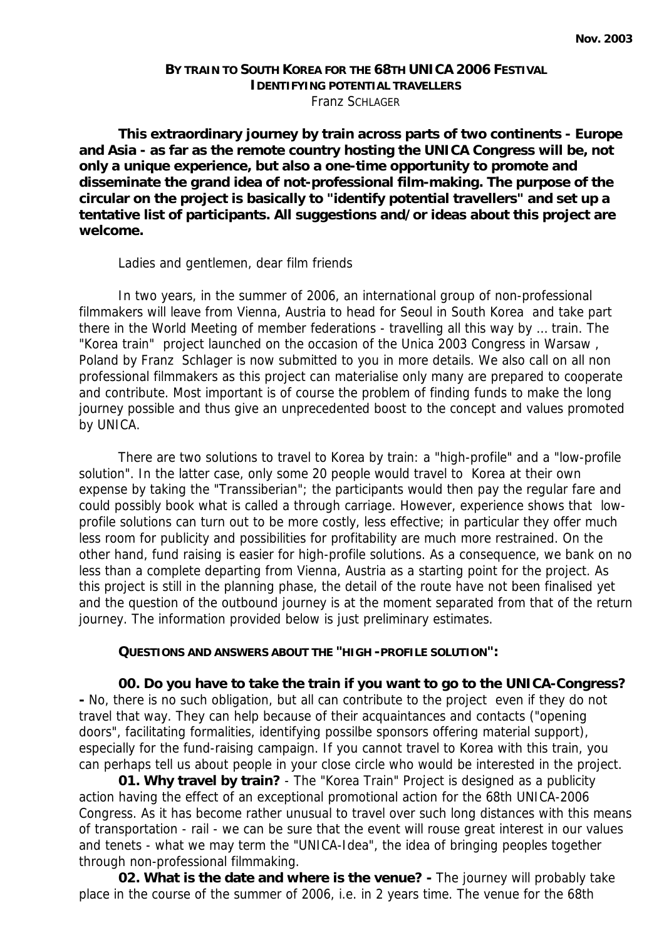## **BY TRAIN TO SOUTH KOREA FOR THE 68TH UNICA 2006 FESTIVAL IDENTIFYING POTENTIAL TRAVELLERS** Franz SCHLAGER

**This extraordinary journey by train across parts of two continents - Europe and Asia - as far as the remote country hosting the UNICA Congress will be, not only a unique experience, but also a one-time opportunity to promote and disseminate the grand idea of not-professional film-making. The purpose of the circular on the project is basically to "***identify potential travellers"* **and set up a tentative list of participants. All suggestions and/or ideas about this project are welcome.**

Ladies and gentlemen, dear film friends

In two years, in the summer of 2006, an international group of non-professional filmmakers will leave from Vienna, Austria to head for Seoul in South Korea and take part there in the World Meeting of member federations - travelling all this way by … train. The "Korea train" project launched on the occasion of the Unica 2003 Congress in Warsaw , Poland by Franz Schlager is now submitted to you in more details. We also call on all non professional filmmakers as this project can materialise only many are prepared to cooperate and contribute. Most important is of course the problem of finding funds to make the long journey possible and thus give an unprecedented boost to the concept and values promoted by UNICA.

There are two solutions to travel to Korea by train: a "high-profile" and a "low-profile solution". In the latter case, only some 20 people would travel to Korea at their own expense by taking the "Transsiberian"; the participants would then pay the regular fare and could possibly book what is called a through carriage. However, experience shows that lowprofile solutions can turn out to be more costly, less effective; in particular they offer much less room for publicity and possibilities for profitability are much more restrained. On the other hand, fund raising is easier for high-profile solutions. As a consequence, we bank on no less than a complete departing from Vienna, Austria as a starting point for the project. As this project is still in the planning phase, the detail of the route have not been finalised yet and the question of the outbound journey is at the moment separated from that of the return journey. The information provided below is just preliminary estimates.

## **QUESTIONS AND ANSWERS ABOUT THE "HIGH -PROFILE SOLUTION":**

**00. Do you have to take the train if you want to go to the UNICA-Congress? -** No, there is no such obligation, but all can contribute to the project even if they do not travel that way. They can help because of their acquaintances and contacts ("opening doors", facilitating formalities, identifying possilbe sponsors offering material support), especially for the fund-raising campaign. If you cannot travel to Korea with this train, you can perhaps tell us about people in your close circle who would be interested in the project.

**01. Why travel by train?** - The "Korea Train" Project is designed as a publicity action having the effect of an exceptional promotional action for the 68th UNICA-2006 Congress. As it has become rather unusual to travel over such long distances with this means of transportation - rail - we can be sure that the event will rouse great interest in our values and tenets - what we may term the "UNICA-Idea", the idea of bringing peoples together through non-professional filmmaking.

**02. What is the date and where is the venue? -** The journey will probably take place in the course of the summer of 2006, i.e. in 2 years time. The venue for the 68th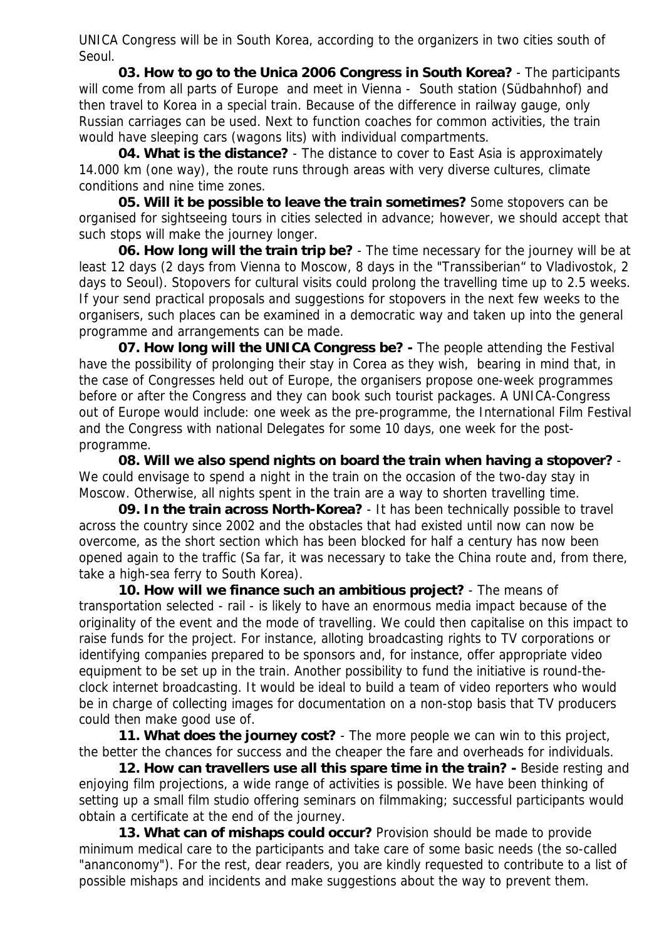UNICA Congress will be in South Korea, according to the organizers in two cities south of Seoul.

**03. How to go to the Unica 2006 Congress in South Korea?** - The participants will come from all parts of Europe and meet in Vienna - South station (*Südbahnhof*) and then travel to Korea in a special train. Because of the difference in railway gauge, only Russian carriages can be used. Next to function coaches for common activities, the train would have sleeping cars (*wagons lits*) with individual compartments.

**04. What is the distance?** - The distance to cover to East Asia is approximately 14.000 km (one way), the route runs through areas with very diverse cultures, climate conditions and nine time zones.

**05. Will it be possible to leave the train sometimes?** Some stopovers can be organised for sightseeing tours in cities selected in advance; however, we should accept that such stops will make the journey longer.

**06. How long will the train trip be?** - The time necessary for the journey will be at least 12 days (2 days from Vienna to Moscow, 8 days in the "Transsiberian" to Vladivostok, 2 days to Seoul). Stopovers for cultural visits could prolong the travelling time up to 2.5 weeks. If your send practical proposals and suggestions for stopovers in the next few weeks to the organisers, such places can be examined in a democratic way and taken up into the general programme and arrangements can be made.

**07. How long will the UNICA Congress be? -** The people attending the Festival have the possibility of prolonging their stay in Corea as they wish, bearing in mind that, in the case of Congresses held out of Europe, the organisers propose one-week programmes before or after the Congress and they can book such tourist packages. A UNICA-Congress out of Europe would include: one week as the pre-programme, the International Film Festival and the Congress with national Delegates for some 10 days, one week for the postprogramme.

**08. Will we also spend nights on board the train when having a stopover?** - We could envisage to spend a night in the train on the occasion of the two-day stay in Moscow. Otherwise, all nights spent in the train are a way to shorten travelling time.

**09. In the train across North-Korea?** - It has been technically possible to travel across the country since 2002 and the obstacles that had existed until now can now be overcome, as the short section which has been blocked for half a century has now been opened again to the traffic (Sa far, it was necessary to take the China route and, from there, take a high-sea ferry to South Korea).

**10. How will we finance such an ambitious project?** - The means of transportation selected - rail - is likely to have an enormous media impact because of the originality of the event and the mode of travelling. We could then capitalise on this impact to raise funds for the project. For instance, alloting broadcasting rights to TV corporations or identifying companies prepared to be sponsors and, for instance, offer appropriate video equipment to be set up in the train. Another possibility to fund the initiative is round-theclock internet broadcasting. It would be ideal to build a team of video reporters who would be in charge of collecting images for documentation on a non-stop basis that TV producers could then make good use of.

**11. What does the journey cost?** - The more people we can win to this project, the better the chances for success and the cheaper the fare and overheads for individuals.

**12. How can travellers use all this spare time in the train? -** Beside resting and enjoying film projections, a wide range of activities is possible. We have been thinking of setting up a small film studio offering seminars on filmmaking; successful participants would obtain a certificate at the end of the journey.

**13. What can of mishaps could occur?** Provision should be made to provide minimum medical care to the participants and take care of some basic needs (the so-called "ananconomy"). For the rest, dear readers, you are kindly requested to contribute to a list of possible mishaps and incidents and make suggestions about the way to prevent them.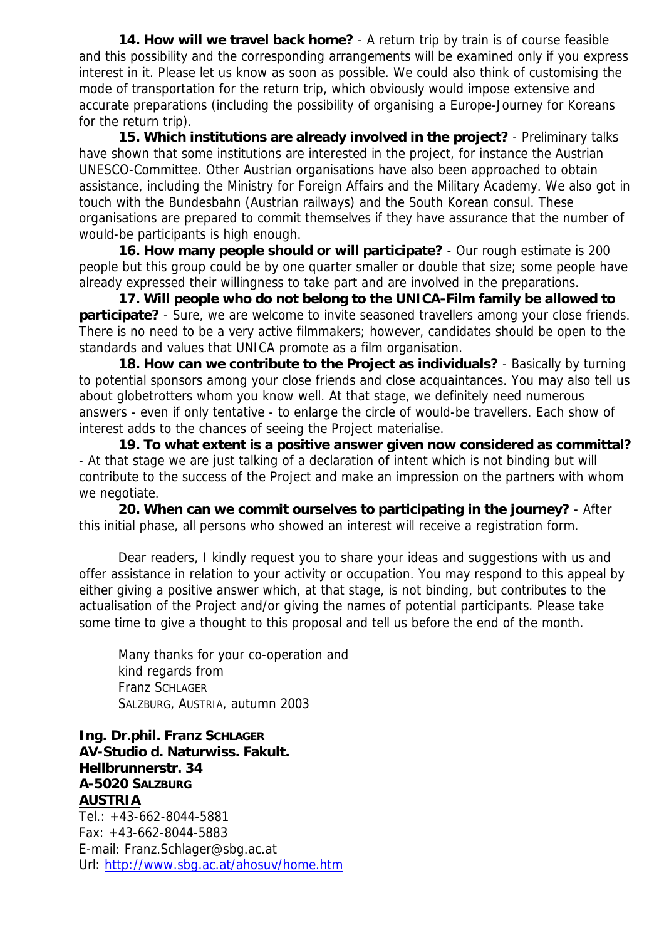**14. How will we travel back home?** - A return trip by train is of course feasible and this possibility and the corresponding arrangements will be examined only if you express interest in it. Please let us know as soon as possible. We could also think of customising the mode of transportation for the return trip, which obviously would impose extensive and accurate preparations (including the possibility of organising a Europe-Journey for Koreans for the return trip).

**15. Which institutions are already involved in the project?** - Preliminary talks have shown that some institutions are interested in the project, for instance the Austrian UNESCO-Committee. Other Austrian organisations have also been approached to obtain assistance, including the Ministry for Foreign Affairs and the Military Academy. We also got in touch with the *Bundesbahn* (Austrian railways) and the South Korean consul. These organisations are prepared to commit themselves if they have assurance that the number of would-be participants is high enough.

**16. How many people should or will participate?** - Our rough estimate is 200 people but this group could be by one quarter smaller or double that size; some people have already expressed their willingness to take part and are involved in the preparations.

**17. Will people who do not belong to the UNICA-Film family be allowed to participate?** - Sure, we are welcome to invite seasoned travellers among your close friends. There is no need to be a very active filmmakers; however, candidates should be open to the standards and values that UNICA promote as a film organisation.

**18. How can we contribute to the Project as individuals?** - Basically by turning to potential sponsors among your close friends and close acquaintances. You may also tell us about globetrotters whom you know well. At that stage, we definitely need numerous answers - even if only tentative - to enlarge the circle of would-be travellers. Each show of interest adds to the chances of seeing the Project materialise.

**19. To what extent is a positive answer given now considered as committal?**  - At that stage we are just talking of a declaration of intent which is not binding but will contribute to the success of the Project and make an impression on the partners with whom we negotiate.

**20. When can we commit ourselves to participating in the journey?** - After this initial phase, all persons who showed an interest will receive a registration form.

Dear readers, I kindly request you to share your ideas and suggestions with us and offer assistance in relation to your activity or occupation. You may respond to this appeal by either giving a positive answer which, at that stage, is not binding, but contributes to the actualisation of the Project and/or giving the names of potential participants. Please take some time to give a thought to this proposal and tell us before the end of the month.

Many thanks for your co-operation and kind regards from Franz SCHLAGER SALZBURG, AUSTRIA, autumn 2003

**Ing. Dr.phil. Franz SCHLAGER AV-Studio d. Naturwiss. Fakult. Hellbrunnerstr. 34 A-5020 SALZBURG AUSTRIA**

Tel.: +43-662-8044-5881 Fax: +43-662-8044-5883 E-mail: Franz.Schlager@sbg.ac.at Url: http://www.sbg.ac.at/ahosuv/home.htm